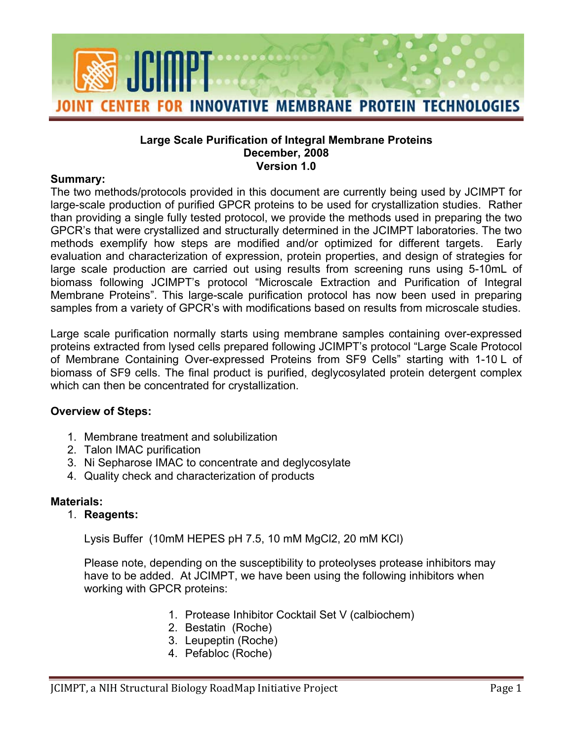

#### **Large Scale Purification of Integral Membrane Proteins December, 2008 Version 1.0**

#### **Summary:**

The two methods/protocols provided in this document are currently being used by JCIMPT for large-scale production of purified GPCR proteins to be used for crystallization studies. Rather than providing a single fully tested protocol, we provide the methods used in preparing the two GPCR's that were crystallized and structurally determined in the JCIMPT laboratories. The two methods exemplify how steps are modified and/or optimized for different targets. Early evaluation and characterization of expression, protein properties, and design of strategies for large scale production are carried out using results from screening runs using 5-10mL of biomass following JCIMPT's protocol "Microscale Extraction and Purification of Integral Membrane Proteins". This large-scale purification protocol has now been used in preparing samples from a variety of GPCR's with modifications based on results from microscale studies.

Large scale purification normally starts using membrane samples containing over-expressed proteins extracted from lysed cells prepared following JCIMPT's protocol "Large Scale Protocol of Membrane Containing Over-expressed Proteins from SF9 Cells" starting with 1-10 L of biomass of SF9 cells. The final product is purified, deglycosylated protein detergent complex which can then be concentrated for crystallization.

### **Overview of Steps:**

- 1. Membrane treatment and solubilization
- 2. Talon IMAC purification
- 3. Ni Sepharose IMAC to concentrate and deglycosylate
- 4. Quality check and characterization of products

### **Materials:**

1. **Reagents:** 

Lysis Buffer (10mM HEPES pH 7.5, 10 mM MgCl2, 20 mM KCl)

Please note, depending on the susceptibility to proteolyses protease inhibitors may have to be added. At JCIMPT, we have been using the following inhibitors when working with GPCR proteins:

- 1. Protease Inhibitor Cocktail Set V (calbiochem)
- 2. Bestatin (Roche)
- 3. Leupeptin (Roche)
- 4. Pefabloc (Roche)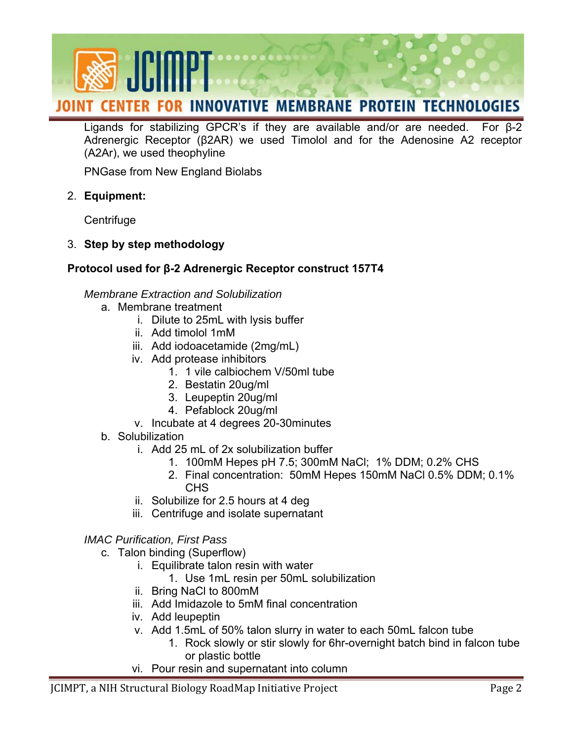

Ligands for stabilizing GPCR's if they are available and/or are needed. For β-2 Adrenergic Receptor (β2AR) we used Timolol and for the Adenosine A2 receptor (A2Ar), we used theophyline

PNGase from New England Biolabs

2. **Equipment:** 

**Centrifuge** 

3. **Step by step methodology** 

# **Protocol used for β-2 Adrenergic Receptor construct 157T4**

## *Membrane Extraction and Solubilization*

- a. Membrane treatment
	- i. Dilute to 25mL with lysis buffer
	- ii. Add timolol 1mM
	- iii. Add iodoacetamide (2mg/mL)
	- iv. Add protease inhibitors
		- 1. 1 vile calbiochem V/50ml tube
		- 2. Bestatin 20ug/ml
		- 3. Leupeptin 20ug/ml
		- 4. Pefablock 20ug/ml
	- v. Incubate at 4 degrees 20-30minutes
- b. Solubilization
	- i. Add 25 mL of 2x solubilization buffer
		- 1. 100mM Hepes pH 7.5; 300mM NaCl; 1% DDM; 0.2% CHS
		- 2. Final concentration: 50mM Hepes 150mM NaCl 0.5% DDM; 0.1% CHS
	- ii. Solubilize for 2.5 hours at 4 deg
	- iii. Centrifuge and isolate supernatant

## *IMAC Purification, First Pass*

- c. Talon binding (Superflow)
	- i. Equilibrate talon resin with water
		- 1. Use 1mL resin per 50mL solubilization
	- ii. Bring NaCl to 800mM
	- iii. Add Imidazole to 5mM final concentration
	- iv. Add leupeptin
	- v. Add 1.5mL of 50% talon slurry in water to each 50mL falcon tube
		- 1. Rock slowly or stir slowly for 6hr-overnight batch bind in falcon tube or plastic bottle
	- vi. Pour resin and supernatant into column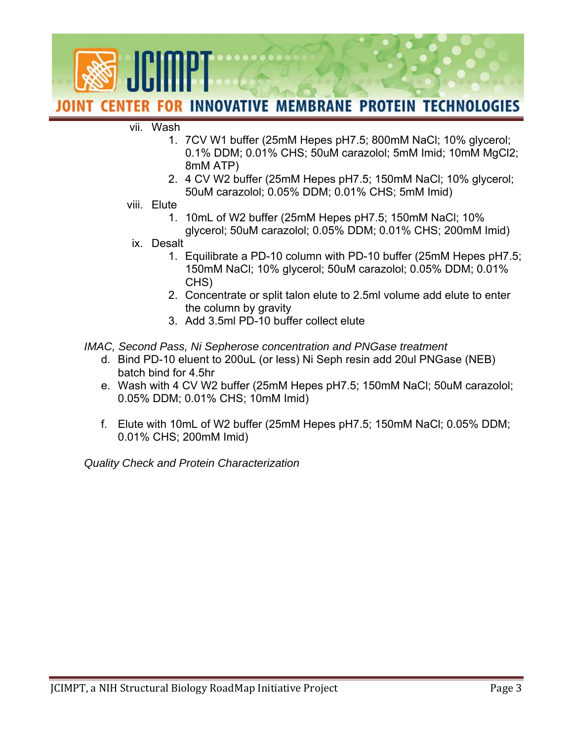

#### vii. Wash

- 1. 7CV W1 buffer (25mM Hepes pH7.5; 800mM NaCl; 10% glycerol; 0.1% DDM; 0.01% CHS; 50uM carazolol; 5mM Imid; 10mM MgCl2; 8mM ATP)
- 2. 4 CV W2 buffer (25mM Hepes pH7.5; 150mM NaCl; 10% glycerol; 50uM carazolol; 0.05% DDM; 0.01% CHS; 5mM Imid)
- viii. Elute
	- 1. 10mL of W2 buffer (25mM Hepes pH7.5; 150mM NaCl; 10% glycerol; 50uM carazolol; 0.05% DDM; 0.01% CHS; 200mM Imid)
- ix. Desalt
	- 1. Equilibrate a PD-10 column with PD-10 buffer (25mM Hepes pH7.5; 150mM NaCl; 10% glycerol; 50uM carazolol; 0.05% DDM; 0.01% CHS)
	- 2. Concentrate or split talon elute to 2.5ml volume add elute to enter the column by gravity
	- 3. Add 3.5ml PD-10 buffer collect elute

### *IMAC, Second Pass, Ni Sepherose concentration and PNGase treatment*

- d. Bind PD-10 eluent to 200uL (or less) Ni Seph resin add 20ul PNGase (NEB) batch bind for 4.5hr
- e. Wash with 4 CV W2 buffer (25mM Hepes pH7.5; 150mM NaCl; 50uM carazolol; 0.05% DDM; 0.01% CHS; 10mM Imid)
- f. Elute with 10mL of W2 buffer (25mM Hepes pH7.5; 150mM NaCl; 0.05% DDM; 0.01% CHS; 200mM Imid)

*Quality Check and Protein Characterization*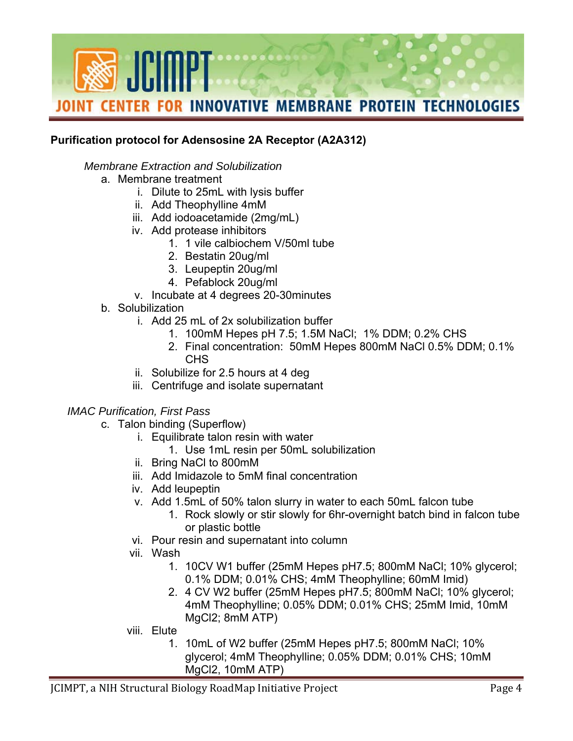

## **Purification protocol for Adensosine 2A Receptor (A2A312)**

## *Membrane Extraction and Solubilization*

- a. Membrane treatment
	- i. Dilute to 25mL with lysis buffer
	- ii. Add Theophylline 4mM
	- iii. Add iodoacetamide (2mg/mL)
	- iv. Add protease inhibitors
		- 1. 1 vile calbiochem V/50ml tube
		- 2. Bestatin 20ug/ml
		- 3. Leupeptin 20ug/ml
		- 4. Pefablock 20ug/ml
	- v. Incubate at 4 degrees 20-30minutes
- b. Solubilization
	- i. Add 25 mL of 2x solubilization buffer
		- 1. 100mM Hepes pH 7.5; 1.5M NaCl; 1% DDM; 0.2% CHS
		- 2. Final concentration: 50mM Hepes 800mM NaCl 0.5% DDM; 0.1% CHS
	- ii. Solubilize for 2.5 hours at 4 deg
	- iii. Centrifuge and isolate supernatant

### *IMAC Purification, First Pass*

- c. Talon binding (Superflow)
	- i. Equilibrate talon resin with water
		- 1. Use 1mL resin per 50mL solubilization
	- ii. Bring NaCl to 800mM
	- iii. Add Imidazole to 5mM final concentration
	- iv. Add leupeptin
	- v. Add 1.5mL of 50% talon slurry in water to each 50mL falcon tube
		- 1. Rock slowly or stir slowly for 6hr-overnight batch bind in falcon tube or plastic bottle
	- vi. Pour resin and supernatant into column
	- vii. Wash
		- 1. 10CV W1 buffer (25mM Hepes pH7.5; 800mM NaCl; 10% glycerol; 0.1% DDM; 0.01% CHS; 4mM Theophylline; 60mM Imid)
		- 2. 4 CV W2 buffer (25mM Hepes pH7.5; 800mM NaCl; 10% glycerol; 4mM Theophylline; 0.05% DDM; 0.01% CHS; 25mM Imid, 10mM MgCl2; 8mM ATP)
	- viii. Elute
		- 1. 10mL of W2 buffer (25mM Hepes pH7.5; 800mM NaCl; 10% glycerol; 4mM Theophylline; 0.05% DDM; 0.01% CHS; 10mM MgCl2, 10mM ATP)